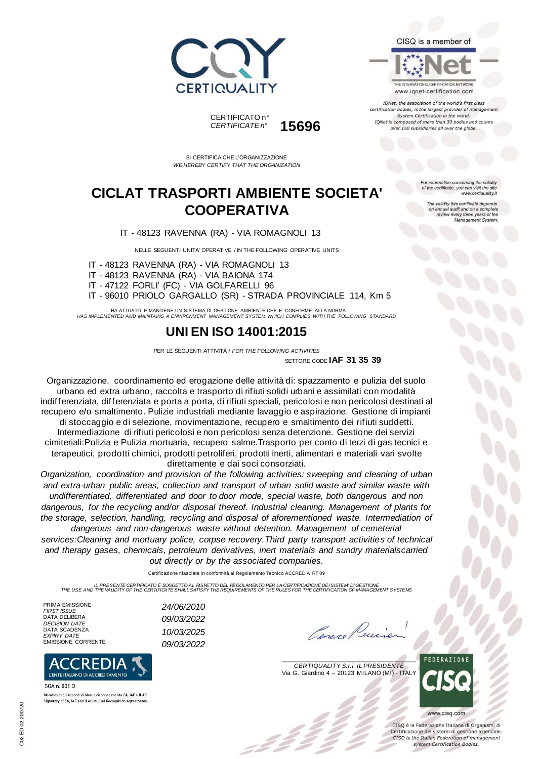





TONet, the association of the world's first class certification bodies, is the largest provider of manager System Certification in the world. IQNet is composed of more than 30 bodies and counts over 150 subsidiaries all over the globe.

*CERTIFICATE n°* **15696**

SI CERTIFICA CHE L'ORGANIZZAZIONE *WE HEREBY CERTIFY THAT THE ORGANIZATION*

CERTIFICATO n°<br>CERTIFICATE n°

### **CICLAT TRASPORTI AMBIENTE SOCIETA' COOPERATIVA**

IT - 48123 RAVENNA (RA) - VIA ROMAGNOLI 13

NELLE SEGUENTI UNITA' OPERATIVE / IN THE FOLLOWING OPERATIVE UNITS

IT - 48123 RAVENNA (RA) - VIA ROMAGNOLI 13

IT - 48123 RAVENNA (RA) - VIA BAIONA 174

IT - 47122 FORLI' (FC) - VIA GOLFARELLI 96

IT - 96010 PRIOLO GARGALLO (SR) - STRADA PROVINCIALE 114, Km 5

HA ATTUATO E MANTIENE UN SISTEMA DI GESTIONE AMBIENTE CHE E' CONFORME ALLA NORMA *HAS IMPLEMENTED AND MAINTAINS A ENVIRONMENT MANAGEMENT SYSTEM WHICH COMPLIES WITH THE FOLLOWING STANDARD*

#### **UNI EN ISO 14001:2015**

PER LE SEGUENTI ATTIVITÀ / *FOR THE FOLLOWING ACTIVITIES* SETTORE CODE **IAF 31 35 39**

Organizzazione, coordinamento ed erogazione delle attività di: spazzamento e pulizia del suolo urbano ed extra urbano, raccolta e trasporto di rifiuti solidi urbani e assimilati con modalità indifferenziata, differenziata e porta a porta, di rifiuti speciali, pericolosi e non pericolosi destinati al recupero e/o smaltimento. Pulizie industriali mediante lavaggio e aspirazione. Gestione di impianti di stoccaggio e di selezione, movimentazione, recupero e smaltimento dei rifiuti suddetti. Intermediazione di rifiuti pericolosi e non pericolosi senza detenzione. Gestione dei servizi cimiteriali:Polizia e Pulizia mortuaria, recupero salme.Trasporto per conto di terzi di gas tecnici e terapeutici, prodotti chimici, prodotti petroliferi, prodotti inerti, alimentari e materiali vari svolte direttamente e dai soci consorziati.

*Organization, coordination and provision of the following activities: sweeping and cleaning of urban and extra-urban public areas, collection and transport of urban solid waste and similar waste with undifferentiated, differentiated and door to door mode, special waste, both dangerous and non dangerous, for the recycling and/or disposal thereof. Industrial cleaning. Management of plants for the storage, selection, handling, recycling and disposal of aforementioned waste. Intermediation of dangerous and non-dangerous waste without detention. Management of cemeterial* 

*services:Cleaning and mortuary police, corpse recovery.Third party transport activities of technical and therapy gases, chemicals, petroleum derivatives, inert materials and sundry materialscarried out directly or by the associated companies.*

Certificazione rilasciata in conformità al Regolamento Tecnico ACCREDIA RT 09

IL PRESENTE CERTIFICATO É SOGGETTO AL RISPETTO DE REGOLAMENTO PER LA CERTIFICAZIONE DEI SISTEM DI GESTIONE<br>THE USE AND THE VALIDITY OF THE CERTIFICATE SHALL SATISFY THE REQUIREMENTS OF THE RULES FOR THE CERTIFICATION OF MA

*FIRST ISSUE 24/06/2010*

*DECISION DATE 09/03/2022*

EMISSIONE CORRENTE *09/03/2022*

PRIMA EMISSIONE<br>FIRST ISSUE DATA DELIBERA DATA SCADENZA<br>EXPIRY DATE *EXPIRY DATE 10/03/2025*



Membro degli Accordi di Mutuo riconoscimento EA. IAF e ILAC Signatory of EA, IAF and ILAC Mutual Recognition Agreem

Cenare Puice

 $\overline{\phantom{a}}$ *CERTIQUALITY S.r.l. IL PRESIDENTE* Via G. Giardino 4 – 20123 MILANO (MI) - ITALY



CISO è la Federazione Italiana di Organismi di Certificazione dei sistemi di gestione aziendale. CISQ is the Italian Federation of management system Certification Bodies.

tion concerning the validity of the certificate, you can visit the si www.certiquality.it

> The validity this certificate depends on annual audit and on a complete<br>review every three years of the<br>Management System.